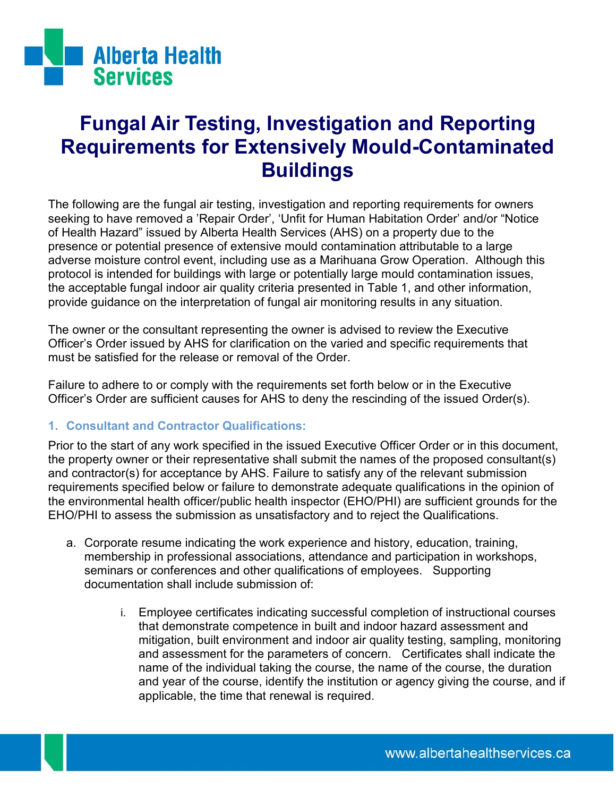

# **Fungal Air Testing, Investigation and Reporting Requirements for Extensively Mould-Contaminated Buildings**

The following are the fungal air testing, investigation and reporting requirements for owners seeking to have removed a 'Repair Order', 'Unfit for Human Habitation Order' and/or "Notice of Health Hazard" issued by Alberta Health Services (AHS) on a property due to the presence or potential presence of extensive mould contamination attributable to a large adverse moisture control event, including use as a Marihuana Grow Operation. Although this protocol is intended for buildings with large or potentially large mould contamination issues, the acceptable fungal indoor air quality criteria presented in Table 1, and other information, provide guidance on the interpretation of fungal air monitoring results in any situation.

The owner or the consultant representing the owner is advised to review the Executive Officer"s Order issued by AHS for clarification on the varied and specific requirements that must be satisfied for the release or removal of the Order.

Failure to adhere to or comply with the requirements set forth below or in the Executive Officer"s Order are sufficient causes for AHS to deny the rescinding of the issued Order(s).

# **1. Consultant and Contractor Qualifications:**

Prior to the start of any work specified in the issued Executive Officer Order or in this document, the property owner or their representative shall submit the names of the proposed consultant(s) and contractor(s) for acceptance by AHS. Failure to satisfy any of the relevant submission requirements specified below or failure to demonstrate adequate qualifications in the opinion of the environmental health officer/public health inspector (EHO/PHI) are sufficient grounds for the EHO/PHI to assess the submission as unsatisfactory and to reject the Qualifications.

- a. Corporate resume indicating the work experience and history, education, training, membership in professional associations, attendance and participation in workshops, seminars or conferences and other qualifications of employees. Supporting documentation shall include submission of:
	- i. Employee certificates indicating successful completion of instructional courses that demonstrate competence in built and indoor hazard assessment and mitigation, built environment and indoor air quality testing, sampling, monitoring and assessment for the parameters of concern. Certificates shall indicate the name of the individual taking the course, the name of the course, the duration and year of the course, identify the institution or agency giving the course, and if applicable, the time that renewal is required.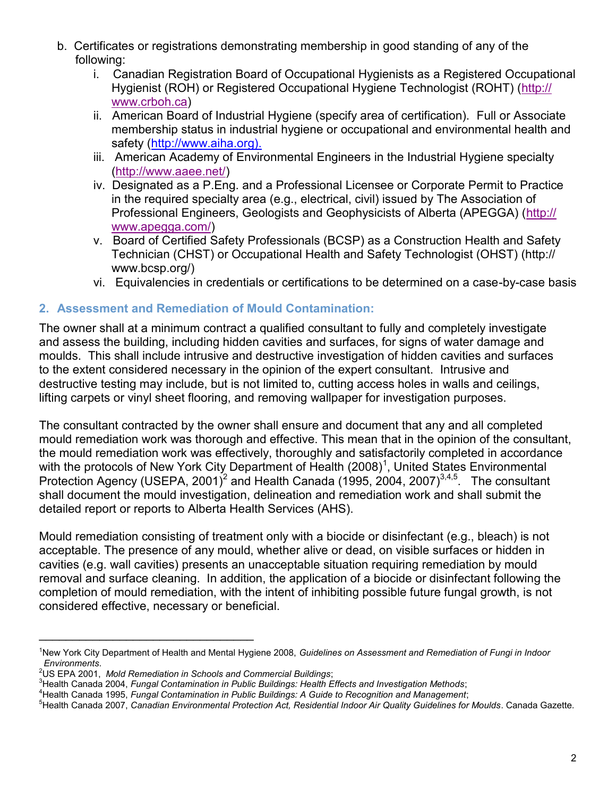- b. Certificates or registrations demonstrating membership in good standing of any of the following:
	- i. Canadian Registration Board of Occupational Hygienists as a Registered Occupational Hygienist (ROH) or Registered Occupational Hygiene Technologist (ROHT) [\(http://](http://www.crboh.ca) [www.crboh.ca\)](http://www.crboh.ca)
	- ii. American Board of Industrial Hygiene (specify area of certification). Full or Associate membership status in industrial hygiene or occupational and environmental health and safety (http://www.aiha.org).
	- iii. American Academy of Environmental Engineers in the Industrial Hygiene specialty ([http://www.aaee.net/\)](http://www.aaee.net/)
	- iv. Designated as a P.Eng. and a Professional Licensee or Corporate Permit to Practice in the required specialty area (e.g., electrical, civil) issued by The Association of Professional Engineers, Geologists and Geophysicists of Alberta (APEGGA) ([http://](http://www.apegga.com/) [www.apegga.com/\)](http://www.apegga.com/)
	- v. Board of Certified Safety Professionals (BCSP) as a Construction Health and Safety Technician (CHST) or Occupational Health and Safety Technologist (OHST) (http:// www.bcsp.org/)
	- vi. Equivalencies in credentials or certifications to be determined on a case-by-case basis

# **2. Assessment and Remediation of Mould Contamination:**

The owner shall at a minimum contract a qualified consultant to fully and completely investigate and assess the building, including hidden cavities and surfaces, for signs of water damage and moulds. This shall include intrusive and destructive investigation of hidden cavities and surfaces to the extent considered necessary in the opinion of the expert consultant. Intrusive and destructive testing may include, but is not limited to, cutting access holes in walls and ceilings, lifting carpets or vinyl sheet flooring, and removing wallpaper for investigation purposes.

The consultant contracted by the owner shall ensure and document that any and all completed mould remediation work was thorough and effective. This mean that in the opinion of the consultant, the mould remediation work was effectively, thoroughly and satisfactorily completed in accordance with the protocols of New York City Department of Health  $(2008)^1$ , United States Environmental Protection Agency (USEPA, 2001)<sup>2</sup> and Health Canada (1995, 2004, 2007)<sup>3,4,5</sup>. The consultant shall document the mould investigation, delineation and remediation work and shall submit the detailed report or reports to Alberta Health Services (AHS).

Mould remediation consisting of treatment only with a biocide or disinfectant (e.g., bleach) is not acceptable. The presence of any mould, whether alive or dead, on visible surfaces or hidden in cavities (e.g. wall cavities) presents an unacceptable situation requiring remediation by mould removal and surface cleaning. In addition, the application of a biocide or disinfectant following the completion of mould remediation, with the intent of inhibiting possible future fungal growth, is not considered effective, necessary or beneficial.

\_\_\_\_\_\_\_\_\_\_\_\_\_\_\_\_\_\_\_\_\_\_\_\_\_\_\_\_\_\_\_\_

<sup>1</sup>New York City Department of Health and Mental Hygiene 2008, *Guidelines on Assessment and Remediation of Fungi in Indoor Environments*.

<sup>2</sup>US EPA 2001, *Mold Remediation in Schools and Commercial Buildings*;

<sup>3</sup>Health Canada 2004, *Fungal Contamination in Public Buildings: Health Effects and Investigation Methods*;

<sup>4</sup>Health Canada 1995, *Fungal Contamination in Public Buildings: A Guide to Recognition and Management*;

<sup>5</sup>Health Canada 2007, *Canadian Environmental Protection Act, Residential Indoor Air Quality Guidelines for Moulds*. Canada Gazette.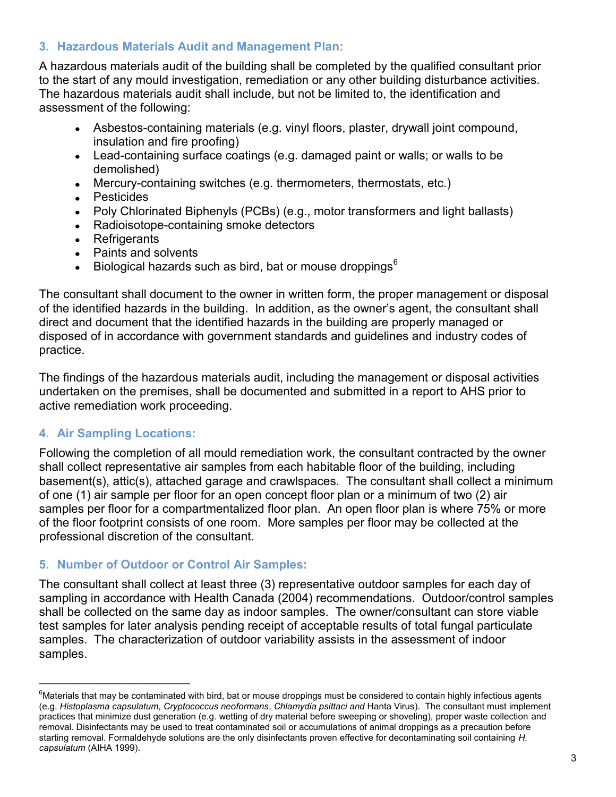# **3. Hazardous Materials Audit and Management Plan:**

A hazardous materials audit of the building shall be completed by the qualified consultant prior to the start of any mould investigation, remediation or any other building disturbance activities. The hazardous materials audit shall include, but not be limited to, the identification and assessment of the following:

- Asbestos-containing materials (e.g. vinyl floors, plaster, drywall joint compound, insulation and fire proofing)
- Lead-containing surface coatings (e.g. damaged paint or walls; or walls to be demolished)
- Mercury-containing switches (e.g. thermometers, thermostats, etc.)
- Pesticides
- Poly Chlorinated Biphenyls (PCBs) (e.g., motor transformers and light ballasts)
- Radioisotope-containing smoke detectors
- Refrigerants
- Paints and solvents
- Biological hazards such as bird, bat or mouse droppings<sup>6</sup>

The consultant shall document to the owner in written form, the proper management or disposal of the identified hazards in the building. In addition, as the owner"s agent, the consultant shall direct and document that the identified hazards in the building are properly managed or disposed of in accordance with government standards and guidelines and industry codes of practice.

The findings of the hazardous materials audit, including the management or disposal activities undertaken on the premises, shall be documented and submitted in a report to AHS prior to active remediation work proceeding.

# **4. Air Sampling Locations:**

\_\_\_\_\_\_\_\_\_\_\_\_\_\_\_\_\_\_\_\_\_\_\_\_\_\_\_\_\_\_

Following the completion of all mould remediation work, the consultant contracted by the owner shall collect representative air samples from each habitable floor of the building, including basement(s), attic(s), attached garage and crawlspaces. The consultant shall collect a minimum of one (1) air sample per floor for an open concept floor plan or a minimum of two (2) air samples per floor for a compartmentalized floor plan. An open floor plan is where 75% or more of the floor footprint consists of one room. More samples per floor may be collected at the professional discretion of the consultant.

# **5. Number of Outdoor or Control Air Samples:**

The consultant shall collect at least three (3) representative outdoor samples for each day of sampling in accordance with Health Canada (2004) recommendations. Outdoor/control samples shall be collected on the same day as indoor samples. The owner/consultant can store viable test samples for later analysis pending receipt of acceptable results of total fungal particulate samples. The characterization of outdoor variability assists in the assessment of indoor samples.

 $6$ Materials that may be contaminated with bird, bat or mouse droppings must be considered to contain highly infectious agents (e.g. *Histoplasma capsulatum*, *Cryptococcus neoformans*, *Chlamydia psittaci and* Hanta Virus). The consultant must implement practices that minimize dust generation (e.g. wetting of dry material before sweeping or shoveling), proper waste collection and removal. Disinfectants may be used to treat contaminated soil or accumulations of animal droppings as a precaution before starting removal. Formaldehyde solutions are the only disinfectants proven effective for decontaminating soil containing *H. capsulatum* (AIHA 1999).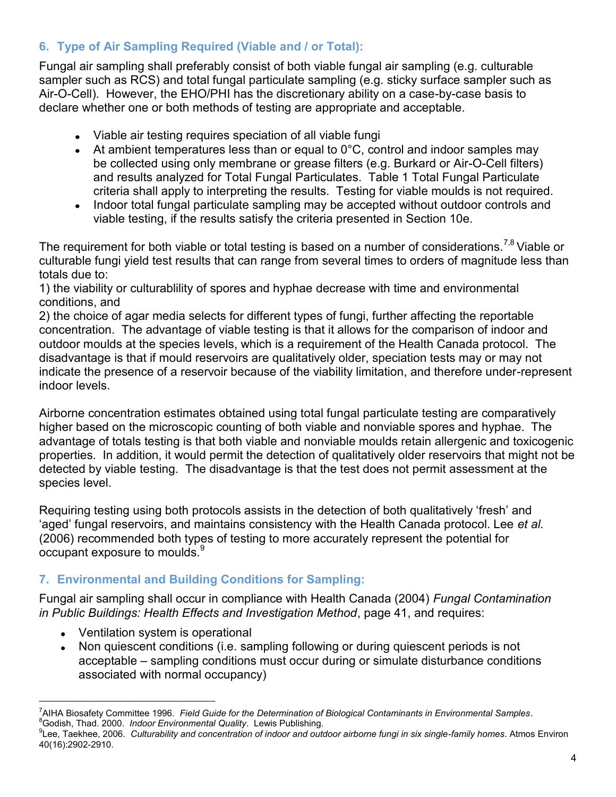# **6. Type of Air Sampling Required (Viable and / or Total):**

Fungal air sampling shall preferably consist of both viable fungal air sampling (e.g. culturable sampler such as RCS) and total fungal particulate sampling (e.g. sticky surface sampler such as Air-O-Cell). However, the EHO/PHI has the discretionary ability on a case-by-case basis to declare whether one or both methods of testing are appropriate and acceptable.

- Viable air testing requires speciation of all viable fungi
- At ambient temperatures less than or equal to  $0^{\circ}$ C, control and indoor samples may be collected using only membrane or grease filters (e.g. Burkard or Air-O-Cell filters) and results analyzed for Total Fungal Particulates. Table 1 Total Fungal Particulate criteria shall apply to interpreting the results. Testing for viable moulds is not required.
- Indoor total fungal particulate sampling may be accepted without outdoor controls and viable testing, if the results satisfy the criteria presented in Section 10e.

The requirement for both viable or total testing is based on a number of considerations.<sup>7,8</sup> Viable or culturable fungi yield test results that can range from several times to orders of magnitude less than totals due to:

1) the viability or culturablility of spores and hyphae decrease with time and environmental conditions, and

2) the choice of agar media selects for different types of fungi, further affecting the reportable concentration. The advantage of viable testing is that it allows for the comparison of indoor and outdoor moulds at the species levels, which is a requirement of the Health Canada protocol. The disadvantage is that if mould reservoirs are qualitatively older, speciation tests may or may not indicate the presence of a reservoir because of the viability limitation, and therefore under-represent indoor levels.

Airborne concentration estimates obtained using total fungal particulate testing are comparatively higher based on the microscopic counting of both viable and nonviable spores and hyphae. The advantage of totals testing is that both viable and nonviable moulds retain allergenic and toxicogenic properties. In addition, it would permit the detection of qualitatively older reservoirs that might not be detected by viable testing. The disadvantage is that the test does not permit assessment at the species level.

Requiring testing using both protocols assists in the detection of both qualitatively "fresh" and "aged" fungal reservoirs, and maintains consistency with the Health Canada protocol. Lee *et al.* (2006) recommended both types of testing to more accurately represent the potential for occupant exposure to moulds.<sup>9</sup>

# **7. Environmental and Building Conditions for Sampling:**

Fungal air sampling shall occur in compliance with Health Canada (2004) *Fungal Contamination in Public Buildings: Health Effects and Investigation Method*, page 41, and requires:

Ventilation system is operational

\_\_\_\_\_\_\_\_\_\_\_\_\_\_\_\_\_\_\_\_\_\_\_\_\_\_\_\_\_\_\_\_\_\_\_

• Non quiescent conditions (i.e. sampling following or during quiescent periods is not acceptable – sampling conditions must occur during or simulate disturbance conditions associated with normal occupancy)

<sup>7</sup>AIHA Biosafety Committee 1996. *Field Guide for the Determination of Biological Contaminants in Environmental Samples*. <sup>8</sup>Godish, Thad. 2000. *Indoor Environmental Quality*. Lewis Publishing.

<sup>9</sup> Lee, Taekhee, 2006. *Culturability and concentration of indoor and outdoor airborne fungi in six single-family homes*. Atmos Environ 40(16):2902-2910.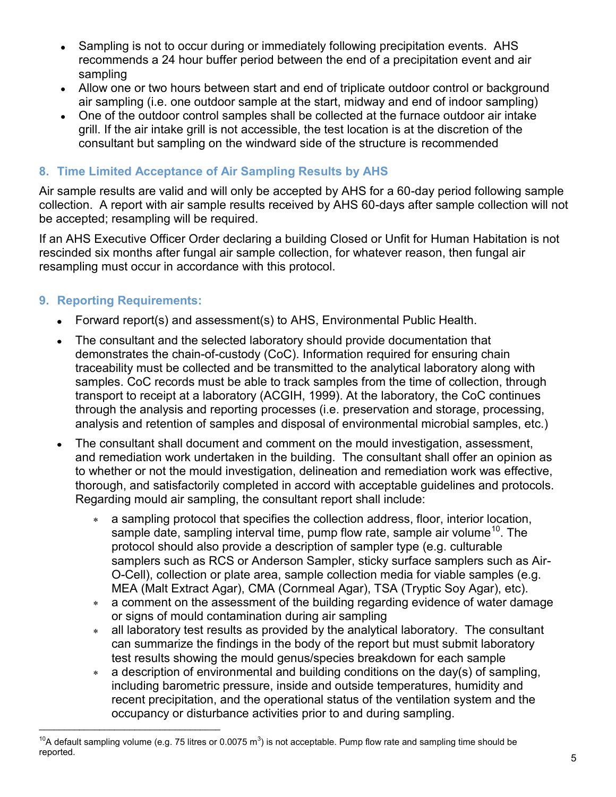- Sampling is not to occur during or immediately following precipitation events. AHS  $\bullet$ recommends a 24 hour buffer period between the end of a precipitation event and air sampling
- Allow one or two hours between start and end of triplicate outdoor control or background air sampling (i.e. one outdoor sample at the start, midway and end of indoor sampling)
- One of the outdoor control samples shall be collected at the furnace outdoor air intake grill. If the air intake grill is not accessible, the test location is at the discretion of the consultant but sampling on the windward side of the structure is recommended

# **8. Time Limited Acceptance of Air Sampling Results by AHS**

Air sample results are valid and will only be accepted by AHS for a 60-day period following sample collection. A report with air sample results received by AHS 60-days after sample collection will not be accepted; resampling will be required.

If an AHS Executive Officer Order declaring a building Closed or Unfit for Human Habitation is not rescinded six months after fungal air sample collection, for whatever reason, then fungal air resampling must occur in accordance with this protocol.

#### **9. Reporting Requirements:**

\_\_\_\_\_\_\_\_\_\_\_\_\_\_\_\_\_\_\_\_\_\_\_\_\_\_\_\_\_\_\_\_\_\_\_\_

- Forward report(s) and assessment(s) to AHS, Environmental Public Health.
- The consultant and the selected laboratory should provide documentation that  $\bullet$ demonstrates the chain-of-custody (CoC). Information required for ensuring chain traceability must be collected and be transmitted to the analytical laboratory along with samples. CoC records must be able to track samples from the time of collection, through transport to receipt at a laboratory (ACGIH, 1999). At the laboratory, the CoC continues through the analysis and reporting processes (i.e. preservation and storage, processing, analysis and retention of samples and disposal of environmental microbial samples, etc.)
- The consultant shall document and comment on the mould investigation, assessment, and remediation work undertaken in the building. The consultant shall offer an opinion as to whether or not the mould investigation, delineation and remediation work was effective, thorough, and satisfactorily completed in accord with acceptable guidelines and protocols. Regarding mould air sampling, the consultant report shall include:
	- a sampling protocol that specifies the collection address, floor, interior location, sample date, sampling interval time, pump flow rate, sample air volume<sup>10</sup>. The protocol should also provide a description of sampler type (e.g. culturable samplers such as RCS or Anderson Sampler, sticky surface samplers such as Air-O-Cell), collection or plate area, sample collection media for viable samples (e.g. MEA (Malt Extract Agar), CMA (Cornmeal Agar), TSA (Tryptic Soy Agar), etc).
	- a comment on the assessment of the building regarding evidence of water damage or signs of mould contamination during air sampling
	- all laboratory test results as provided by the analytical laboratory. The consultant  $\star$ can summarize the findings in the body of the report but must submit laboratory test results showing the mould genus/species breakdown for each sample
	- a description of environmental and building conditions on the day(s) of sampling, including barometric pressure, inside and outside temperatures, humidity and recent precipitation, and the operational status of the ventilation system and the occupancy or disturbance activities prior to and during sampling.

<sup>&</sup>lt;sup>10</sup>A default sampling volume (e.g. 75 litres or 0.0075 m<sup>3</sup>) is not acceptable. Pump flow rate and sampling time should be reported.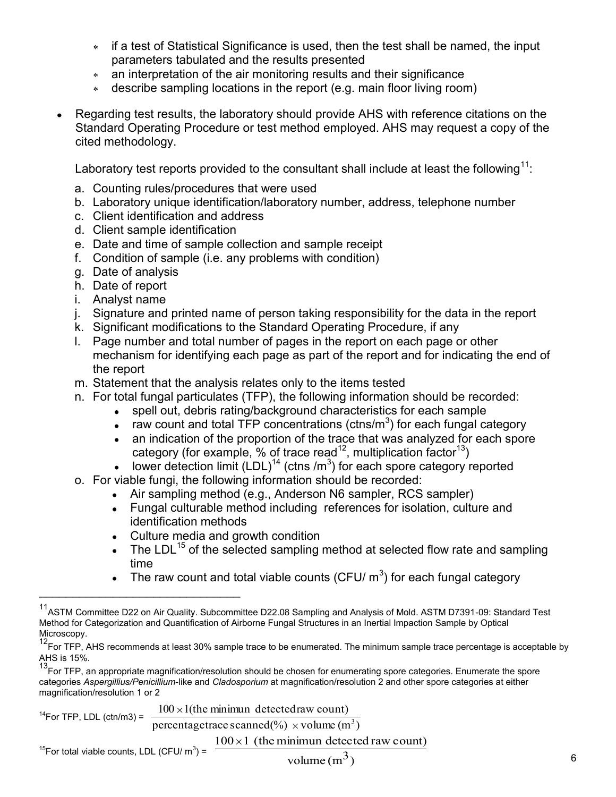- if a test of Statistical Significance is used, then the test shall be named, the input parameters tabulated and the results presented
- an interpretation of the air monitoring results and their significance
- describe sampling locations in the report (e.g. main floor living room)  $\star$
- Regarding test results, the laboratory should provide AHS with reference citations on the Standard Operating Procedure or test method employed. AHS may request a copy of the cited methodology.

Laboratory test reports provided to the consultant shall include at least the following<sup>11</sup>:

- a. Counting rules/procedures that were used
- b. Laboratory unique identification/laboratory number, address, telephone number
- c. Client identification and address
- d. Client sample identification
- e. Date and time of sample collection and sample receipt
- f. Condition of sample (i.e. any problems with condition)
- g. Date of analysis

 $\mathcal{L}=\{1,2,3,4,5\}$ 

- h. Date of report
- i. Analyst name
- j. Signature and printed name of person taking responsibility for the data in the report
- k. Significant modifications to the Standard Operating Procedure, if any
- l. Page number and total number of pages in the report on each page or other mechanism for identifying each page as part of the report and for indicating the end of the report
- m. Statement that the analysis relates only to the items tested
- n. For total fungal particulates (TFP), the following information should be recorded:
	- spell out, debris rating/background characteristics for each sample  $\bullet$
	- raw count and total TFP concentrations (ctns/ $m<sup>3</sup>$ ) for each fungal category
	- an indication of the proportion of the trace that was analyzed for each spore category (for example,  $\%$  of trace read<sup>12</sup>, multiplication factor<sup>13</sup>)
	- lower detection limit  $(LDL)^{14}$  (ctns /m<sup>3</sup>) for each spore category reported
- o. For viable fungi, the following information should be recorded:
	- Air sampling method (e.g., Anderson N6 sampler, RCS sampler)  $\bullet$
	- $\bullet$ Fungal culturable method including references for isolation, culture and identification methods
	- Culture media and growth condition
	- The LDL<sup>15</sup> of the selected sampling method at selected flow rate and sampling time
	- The raw count and total viable counts (CFU/  $\text{m}^{3}$ ) for each fungal category  $\bullet$

 $^{14}$ For TFP, LDL (ctn/m3) = -<sup>15</sup>For total viable counts, LDL (CFU/  $m^3$ ) = percentage trace scanned  $(\%) \times$  volume  $(m^3)$  $100 \times 1$ (the minimun detectedraw count)  $100 \times 1$  (the minimun detected raw count)

<sup>&</sup>lt;sup>11</sup>ASTM Committee D22 on Air Quality. Subcommittee D22.08 Sampling and Analysis of Mold. ASTM D7391-09: Standard Test Method for Categorization and Quantification of Airborne Fungal Structures in an Inertial Impaction Sample by Optical Microscopy.

<sup>&</sup>lt;sup>12</sup>For TFP, AHS recommends at least 30% sample trace to be enumerated. The minimum sample trace percentage is acceptable by AHS is 15%.

<sup>&</sup>lt;sup>13</sup>For TFP, an appropriate magnification/resolution should be chosen for enumerating spore categories. Enumerate the spore categories *Aspergillius/Penicillium*-like and *Cladosporium* at magnification/resolution 2 and other spore categories at either magnification/resolution 1 or 2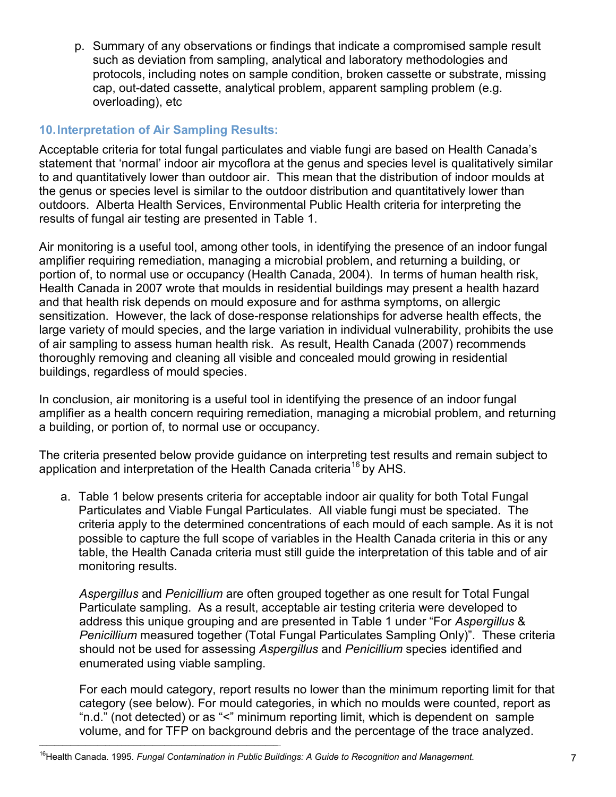p. Summary of any observations or findings that indicate a compromised sample result such as deviation from sampling, analytical and laboratory methodologies and protocols, including notes on sample condition, broken cassette or substrate, missing cap, out-dated cassette, analytical problem, apparent sampling problem (e.g. overloading), etc

# **10.Interpretation of Air Sampling Results:**

Acceptable criteria for total fungal particulates and viable fungi are based on Health Canada"s statement that "normal" indoor air mycoflora at the genus and species level is qualitatively similar to and quantitatively lower than outdoor air. This mean that the distribution of indoor moulds at the genus or species level is similar to the outdoor distribution and quantitatively lower than outdoors. Alberta Health Services, Environmental Public Health criteria for interpreting the results of fungal air testing are presented in Table 1.

Air monitoring is a useful tool, among other tools, in identifying the presence of an indoor fungal amplifier requiring remediation, managing a microbial problem, and returning a building, or portion of, to normal use or occupancy (Health Canada, 2004). In terms of human health risk, Health Canada in 2007 wrote that moulds in residential buildings may present a health hazard and that health risk depends on mould exposure and for asthma symptoms, on allergic sensitization. However, the lack of dose-response relationships for adverse health effects, the large variety of mould species, and the large variation in individual vulnerability, prohibits the use of air sampling to assess human health risk. As result, Health Canada (2007) recommends thoroughly removing and cleaning all visible and concealed mould growing in residential buildings, regardless of mould species.

In conclusion, air monitoring is a useful tool in identifying the presence of an indoor fungal amplifier as a health concern requiring remediation, managing a microbial problem, and returning a building, or portion of, to normal use or occupancy.

The criteria presented below provide guidance on interpreting test results and remain subject to application and interpretation of the Health Canada criteria<sup>16</sup> by AHS.

a. Table 1 below presents criteria for acceptable indoor air quality for both Total Fungal Particulates and Viable Fungal Particulates. All viable fungi must be speciated. The criteria apply to the determined concentrations of each mould of each sample. As it is not possible to capture the full scope of variables in the Health Canada criteria in this or any table, the Health Canada criteria must still guide the interpretation of this table and of air monitoring results.

*Aspergillus* and *Penicillium* are often grouped together as one result for Total Fungal Particulate sampling. As a result, acceptable air testing criteria were developed to address this unique grouping and are presented in Table 1 under "For *Aspergillus* & *Penicillium* measured together (Total Fungal Particulates Sampling Only)". These criteria should not be used for assessing *Aspergillus* and *Penicillium* species identified and enumerated using viable sampling.

For each mould category, report results no lower than the minimum reporting limit for that category (see below). For mould categories, in which no moulds were counted, report as "n.d." (not detected) or as "<" minimum reporting limit, which is dependent on sample volume, and for TFP on background debris and the percentage of the trace analyzed.

 $\mathcal{L}_\text{max}$  and  $\mathcal{L}_\text{max}$  and  $\mathcal{L}_\text{max}$  and  $\mathcal{L}_\text{max}$  and  $\mathcal{L}_\text{max}$  and  $\mathcal{L}_\text{max}$ 

<sup>&</sup>lt;sup>16</sup>Health Canada. 1995. *Fungal Contamination in Public Buildings: A Guide to Recognition and Management.*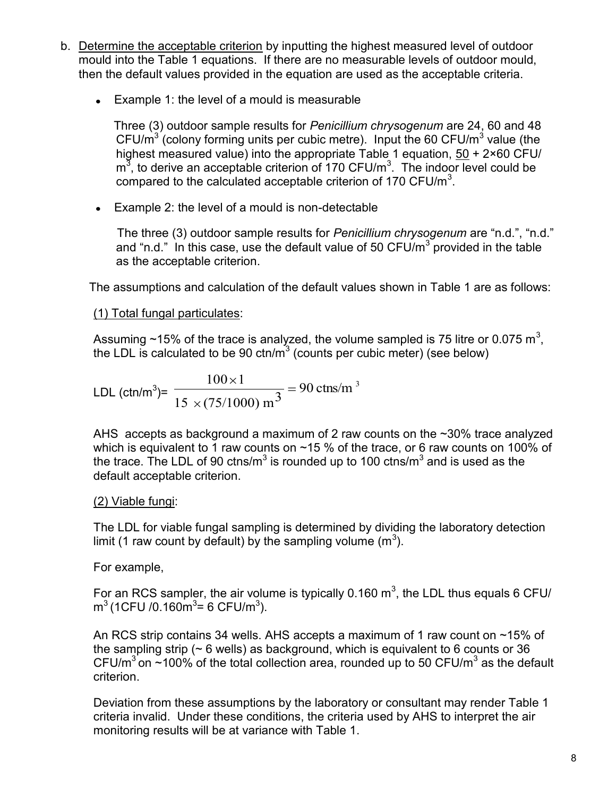- b. Determine the acceptable criterion by inputting the highest measured level of outdoor mould into the Table 1 equations. If there are no measurable levels of outdoor mould, then the default values provided in the equation are used as the acceptable criteria.
	- Example 1: the level of a mould is measurable

 Three (3) outdoor sample results for *Penicillium chrysogenum* are 24, 60 and 48 CFU/ $m^3$  (colony forming units per cubic metre). Input the 60 CFU/ $m^3$  value (the highest measured value) into the appropriate Table 1 equation, 50 + 2×60 CFU/  $m<sup>3</sup>$ , to derive an acceptable criterion of 170 CFU/ $m<sup>3</sup>$ . The indoor level could be compared to the calculated acceptable criterion of 170 CFU/ $m<sup>3</sup>$ .

Example 2: the level of a mould is non-detectable

 The three (3) outdoor sample results for *Penicillium chrysogenum* are "n.d.", "n.d." and "n.d." In this case, use the default value of 50 CFU/m<sup>3</sup> provided in the table as the acceptable criterion.

The assumptions and calculation of the default values shown in Table 1 are as follows:

(1) Total fungal particulates:

Assuming ~15% of the trace is analyzed, the volume sampled is 75 litre or 0.075 m<sup>3</sup>, the LDL is calculated to be 90 ctn/m<sup>3</sup> (counts per cubic meter) (see below)

LDL (ctn/m<sup>3</sup>)= 
$$
\frac{100 \times 1}{15 \times (75/1000) \text{ m}^3} = 90 \text{ ctns/m}^3
$$

AHS accepts as background a maximum of 2 raw counts on the ~30% trace analyzed which is equivalent to 1 raw counts on ~15 % of the trace, or 6 raw counts on 100% of the trace. The LDL of 90 ctns/m<sup>3</sup> is rounded up to 100 ctns/m<sup>3</sup> and is used as the default acceptable criterion.

# (2) Viable fungi:

The LDL for viable fungal sampling is determined by dividing the laboratory detection limit (1 raw count by default) by the sampling volume  $(m^3)$ .

# For example,

For an RCS sampler, the air volume is typically 0.160  $m^3$ , the LDL thus equals 6 CFU/  $\text{m}^3$  (1CFU /0.160 $\text{m}^3$ = 6 CFU/ $\text{m}^3$ ).

An RCS strip contains 34 wells. AHS accepts a maximum of 1 raw count on ~15% of the sampling strip ( $\sim$  6 wells) as background, which is equivalent to 6 counts or 36 CFU/m<sup>3</sup> on  $\sim$ 100% of the total collection area, rounded up to 50 CFU/m<sup>3</sup> as the default criterion.

Deviation from these assumptions by the laboratory or consultant may render Table 1 criteria invalid. Under these conditions, the criteria used by AHS to interpret the air monitoring results will be at variance with Table 1.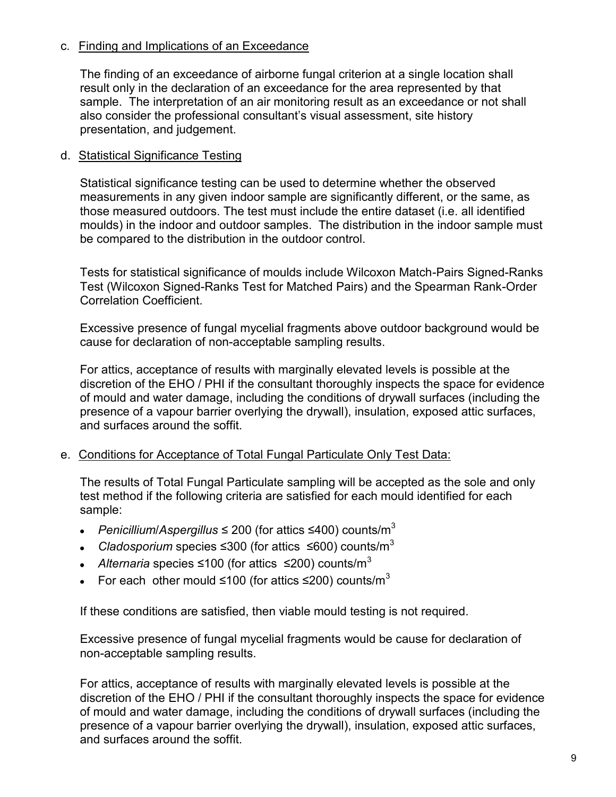## c. Finding and Implications of an Exceedance

The finding of an exceedance of airborne fungal criterion at a single location shall result only in the declaration of an exceedance for the area represented by that sample. The interpretation of an air monitoring result as an exceedance or not shall also consider the professional consultant"s visual assessment, site history presentation, and judgement.

#### d. Statistical Significance Testing

Statistical significance testing can be used to determine whether the observed measurements in any given indoor sample are significantly different, or the same, as those measured outdoors. The test must include the entire dataset (i.e. all identified moulds) in the indoor and outdoor samples. The distribution in the indoor sample must be compared to the distribution in the outdoor control.

Tests for statistical significance of moulds include Wilcoxon Match-Pairs Signed-Ranks Test (Wilcoxon Signed-Ranks Test for Matched Pairs) and the Spearman Rank-Order Correlation Coefficient.

Excessive presence of fungal mycelial fragments above outdoor background would be cause for declaration of non-acceptable sampling results.

For attics, acceptance of results with marginally elevated levels is possible at the discretion of the EHO / PHI if the consultant thoroughly inspects the space for evidence of mould and water damage, including the conditions of drywall surfaces (including the presence of a vapour barrier overlying the drywall), insulation, exposed attic surfaces, and surfaces around the soffit.

#### e. Conditions for Acceptance of Total Fungal Particulate Only Test Data:

The results of Total Fungal Particulate sampling will be accepted as the sole and only test method if the following criteria are satisfied for each mould identified for each sample:

- *Penicillium*/*Aspergillus* ≤ 200 (for attics ≤400) counts/m<sup>3</sup>
- *Cladosporium* species ≤300 (for attics ≤600) counts/m<sup>3</sup>
- *Alternaria* species ≤100 (for attics ≤200) counts/m<sup>3</sup>
- For each other mould ≤100 (for attics ≤200) counts/m<sup>3</sup>

If these conditions are satisfied, then viable mould testing is not required.

Excessive presence of fungal mycelial fragments would be cause for declaration of non-acceptable sampling results.

For attics, acceptance of results with marginally elevated levels is possible at the discretion of the EHO / PHI if the consultant thoroughly inspects the space for evidence of mould and water damage, including the conditions of drywall surfaces (including the presence of a vapour barrier overlying the drywall), insulation, exposed attic surfaces, and surfaces around the soffit.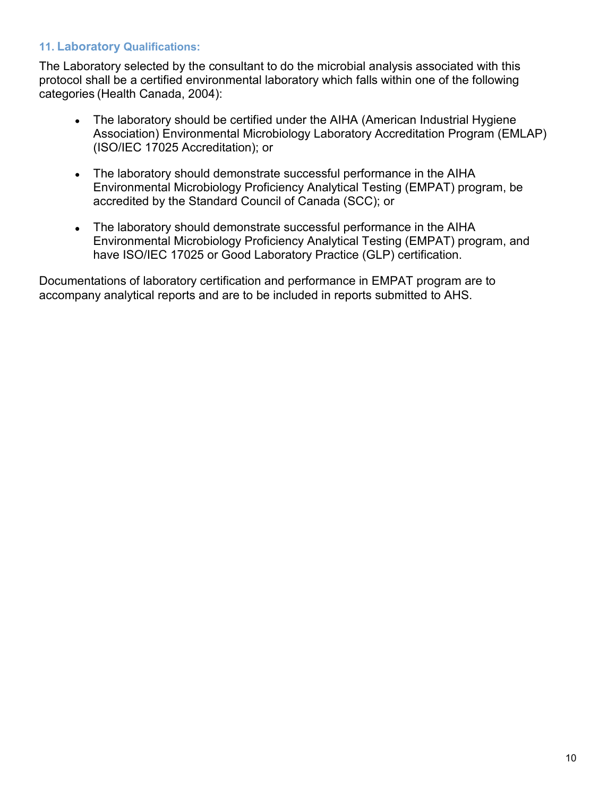## **11. Laboratory Qualifications:**

The Laboratory selected by the consultant to do the microbial analysis associated with this protocol shall be a certified environmental laboratory which falls within one of the following categories (Health Canada, 2004):

- The laboratory should be certified under the AIHA (American Industrial Hygiene Association) Environmental Microbiology Laboratory Accreditation Program (EMLAP) (ISO/IEC 17025 Accreditation); or
- The laboratory should demonstrate successful performance in the AIHA Environmental Microbiology Proficiency Analytical Testing (EMPAT) program, be accredited by the Standard Council of Canada (SCC); or
- The laboratory should demonstrate successful performance in the AIHA Environmental Microbiology Proficiency Analytical Testing (EMPAT) program, and have ISO/IEC 17025 or Good Laboratory Practice (GLP) certification.

Documentations of laboratory certification and performance in EMPAT program are to accompany analytical reports and are to be included in reports submitted to AHS.